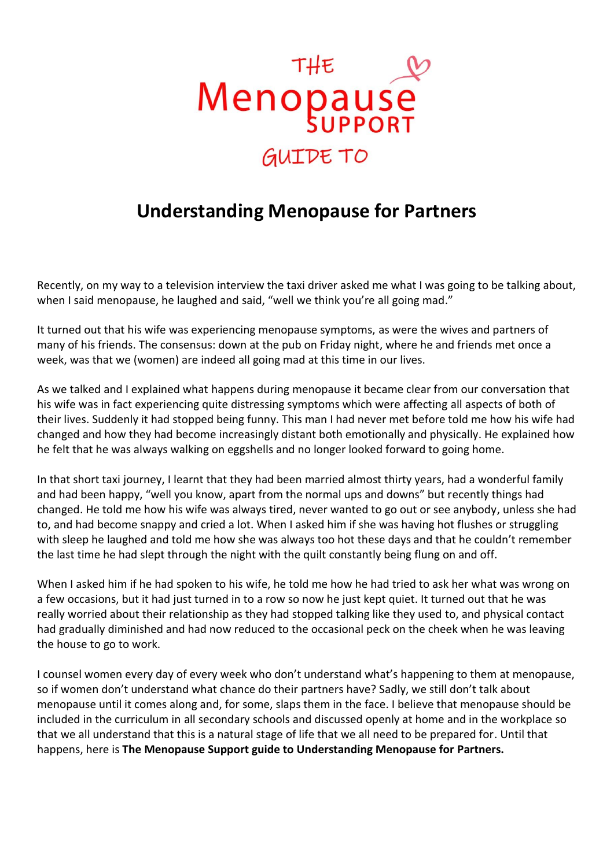

## **Understanding Menopause for Partners**

Recently, on my way to a television interview the taxi driver asked me what I was going to be talking about, when I said menopause, he laughed and said, "well we think you're all going mad."

It turned out that his wife was experiencing menopause symptoms, as were the wives and partners of many of his friends. The consensus: down at the pub on Friday night, where he and friends met once a week, was that we (women) are indeed all going mad at this time in our lives.

As we talked and I explained what happens during menopause it became clear from our conversation that his wife was in fact experiencing quite distressing symptoms which were affecting all aspects of both of their lives. Suddenly it had stopped being funny. This man I had never met before told me how his wife had changed and how they had become increasingly distant both emotionally and physically. He explained how he felt that he was always walking on eggshells and no longer looked forward to going home.

In that short taxi journey, I learnt that they had been married almost thirty years, had a wonderful family and had been happy, "well you know, apart from the normal ups and downs" but recently things had changed. He told me how his wife was always tired, never wanted to go out or see anybody, unless she had to, and had become snappy and cried a lot. When I asked him if she was having hot flushes or struggling with sleep he laughed and told me how she was always too hot these days and that he couldn't remember the last time he had slept through the night with the quilt constantly being flung on and off.

When I asked him if he had spoken to his wife, he told me how he had tried to ask her what was wrong on a few occasions, but it had just turned in to a row so now he just kept quiet. It turned out that he was really worried about their relationship as they had stopped talking like they used to, and physical contact had gradually diminished and had now reduced to the occasional peck on the cheek when he was leaving the house to go to work.

I counsel women every day of every week who don't understand what's happening to them at menopause, so if women don't understand what chance do their partners have? Sadly, we still don't talk about menopause until it comes along and, for some, slaps them in the face. I believe that menopause should be included in the curriculum in all secondary schools and discussed openly at home and in the workplace so that we all understand that this is a natural stage of life that we all need to be prepared for. Until that happens, here is **The Menopause Support guide to Understanding Menopause for Partners.**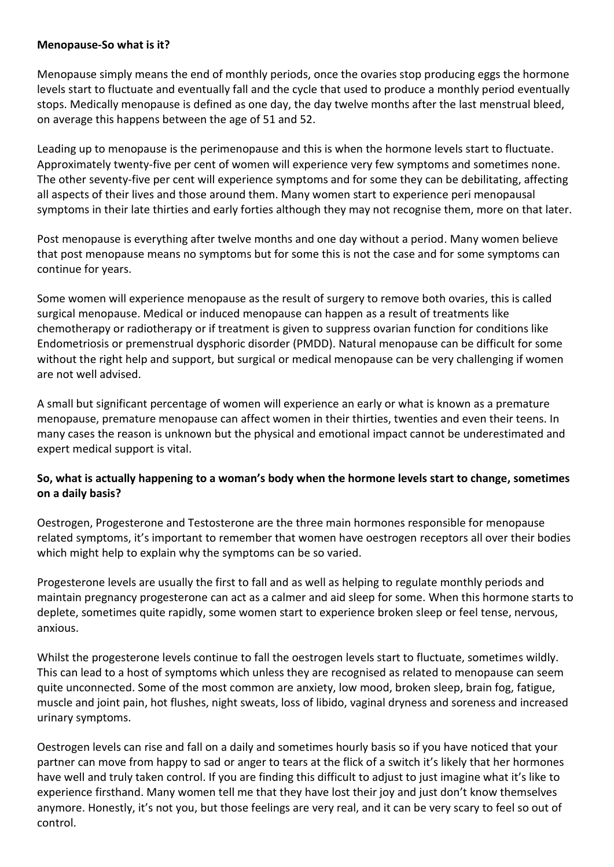## **Menopause-So what is it?**

Menopause simply means the end of monthly periods, once the ovaries stop producing eggs the hormone levels start to fluctuate and eventually fall and the cycle that used to produce a monthly period eventually stops. Medically menopause is defined as one day, the day twelve months after the last menstrual bleed, on average this happens between the age of 51 and 52.

Leading up to menopause is the perimenopause and this is when the hormone levels start to fluctuate. Approximately twenty-five per cent of women will experience very few symptoms and sometimes none. The other seventy-five per cent will experience symptoms and for some they can be debilitating, affecting all aspects of their lives and those around them. Many women start to experience peri menopausal symptoms in their late thirties and early forties although they may not recognise them, more on that later.

Post menopause is everything after twelve months and one day without a period. Many women believe that post menopause means no symptoms but for some this is not the case and for some symptoms can continue for years.

Some women will experience menopause as the result of surgery to remove both ovaries, this is called surgical menopause. Medical or induced menopause can happen as a result of treatments like chemotherapy or radiotherapy or if treatment is given to suppress ovarian function for conditions like Endometriosis or premenstrual dysphoric disorder (PMDD). Natural menopause can be difficult for some without the right help and support, but surgical or medical menopause can be very challenging if women are not well advised.

A small but significant percentage of women will experience an early or what is known as a premature menopause, premature menopause can affect women in their thirties, twenties and even their teens. In many cases the reason is unknown but the physical and emotional impact cannot be underestimated and expert medical support is vital.

## **So, what is actually happening to a woman's body when the hormone levels start to change, sometimes on a daily basis?**

Oestrogen, Progesterone and Testosterone are the three main hormones responsible for menopause related symptoms, it's important to remember that women have oestrogen receptors all over their bodies which might help to explain why the symptoms can be so varied.

Progesterone levels are usually the first to fall and as well as helping to regulate monthly periods and maintain pregnancy progesterone can act as a calmer and aid sleep for some. When this hormone starts to deplete, sometimes quite rapidly, some women start to experience broken sleep or feel tense, nervous, anxious.

Whilst the progesterone levels continue to fall the oestrogen levels start to fluctuate, sometimes wildly. This can lead to a host of symptoms which unless they are recognised as related to menopause can seem quite unconnected. Some of the most common are anxiety, low mood, broken sleep, brain fog, fatigue, muscle and joint pain, hot flushes, night sweats, loss of libido, vaginal dryness and soreness and increased urinary symptoms.

Oestrogen levels can rise and fall on a daily and sometimes hourly basis so if you have noticed that your partner can move from happy to sad or anger to tears at the flick of a switch it's likely that her hormones have well and truly taken control. If you are finding this difficult to adjust to just imagine what it's like to experience firsthand. Many women tell me that they have lost their joy and just don't know themselves anymore. Honestly, it's not you, but those feelings are very real, and it can be very scary to feel so out of control.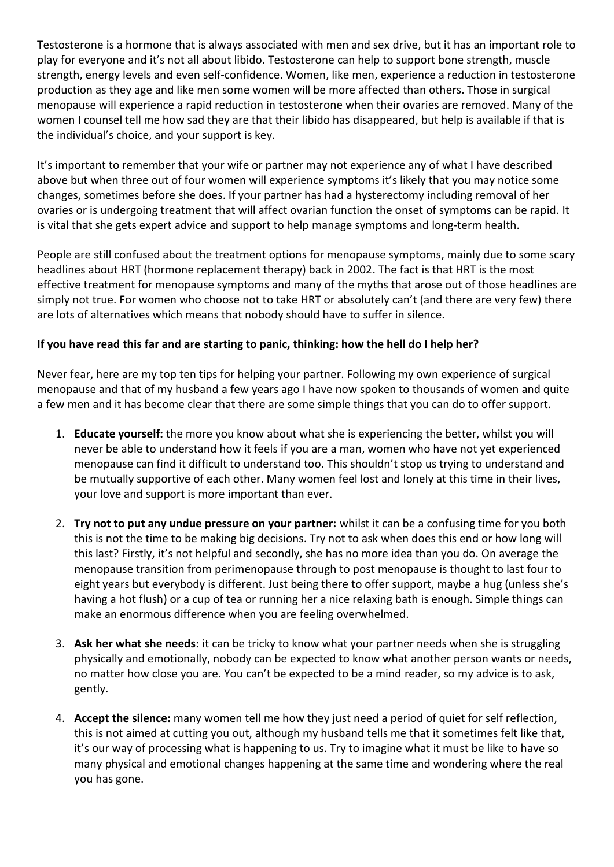Testosterone is a hormone that is always associated with men and sex drive, but it has an important role to play for everyone and it's not all about libido. Testosterone can help to support bone strength, muscle strength, energy levels and even self-confidence. Women, like men, experience a reduction in testosterone production as they age and like men some women will be more affected than others. Those in surgical menopause will experience a rapid reduction in testosterone when their ovaries are removed. Many of the women I counsel tell me how sad they are that their libido has disappeared, but help is available if that is the individual's choice, and your support is key.

It's important to remember that your wife or partner may not experience any of what I have described above but when three out of four women will experience symptoms it's likely that you may notice some changes, sometimes before she does. If your partner has had a hysterectomy including removal of her ovaries or is undergoing treatment that will affect ovarian function the onset of symptoms can be rapid. It is vital that she gets expert advice and support to help manage symptoms and long-term health.

People are still confused about the treatment options for menopause symptoms, mainly due to some scary headlines about HRT (hormone replacement therapy) back in 2002. The fact is that HRT is the most effective treatment for menopause symptoms and many of the myths that arose out of those headlines are simply not true. For women who choose not to take HRT or absolutely can't (and there are very few) there are lots of alternatives which means that nobody should have to suffer in silence.

## **If you have read this far and are starting to panic, thinking: how the hell do I help her?**

Never fear, here are my top ten tips for helping your partner. Following my own experience of surgical menopause and that of my husband a few years ago I have now spoken to thousands of women and quite a few men and it has become clear that there are some simple things that you can do to offer support.

- 1. **Educate yourself:** the more you know about what she is experiencing the better, whilst you will never be able to understand how it feels if you are a man, women who have not yet experienced menopause can find it difficult to understand too. This shouldn't stop us trying to understand and be mutually supportive of each other. Many women feel lost and lonely at this time in their lives, your love and support is more important than ever.
- 2. **Try not to put any undue pressure on your partner:** whilst it can be a confusing time for you both this is not the time to be making big decisions. Try not to ask when does this end or how long will this last? Firstly, it's not helpful and secondly, she has no more idea than you do. On average the menopause transition from perimenopause through to post menopause is thought to last four to eight years but everybody is different. Just being there to offer support, maybe a hug (unless she's having a hot flush) or a cup of tea or running her a nice relaxing bath is enough. Simple things can make an enormous difference when you are feeling overwhelmed.
- 3. **Ask her what she needs:** it can be tricky to know what your partner needs when she is struggling physically and emotionally, nobody can be expected to know what another person wants or needs, no matter how close you are. You can't be expected to be a mind reader, so my advice is to ask, gently.
- 4. **Accept the silence:** many women tell me how they just need a period of quiet for self reflection, this is not aimed at cutting you out, although my husband tells me that it sometimes felt like that, it's our way of processing what is happening to us. Try to imagine what it must be like to have so many physical and emotional changes happening at the same time and wondering where the real you has gone.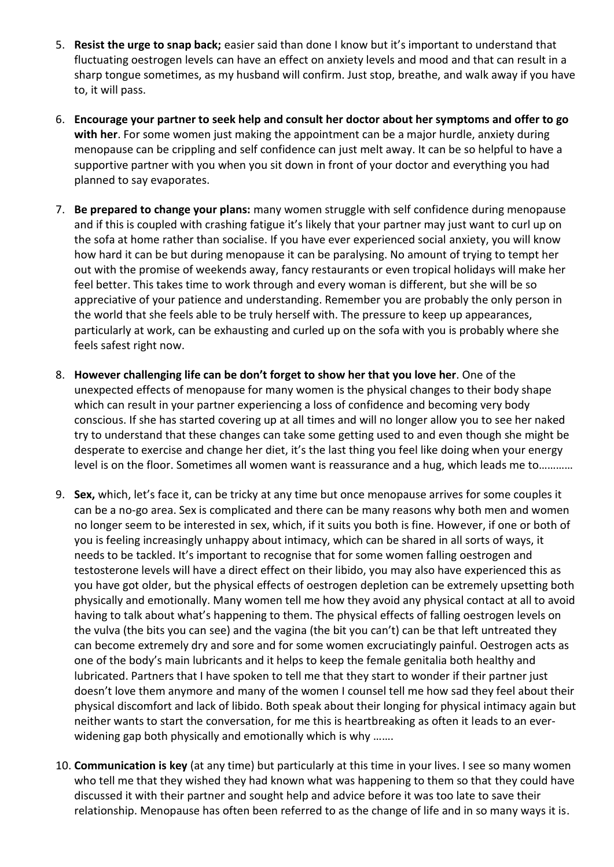- 5. **Resist the urge to snap back;** easier said than done I know but it's important to understand that fluctuating oestrogen levels can have an effect on anxiety levels and mood and that can result in a sharp tongue sometimes, as my husband will confirm. Just stop, breathe, and walk away if you have to, it will pass.
- 6. **Encourage your partner to seek help and consult her doctor about her symptoms and offer to go with her**. For some women just making the appointment can be a major hurdle, anxiety during menopause can be crippling and self confidence can just melt away. It can be so helpful to have a supportive partner with you when you sit down in front of your doctor and everything you had planned to say evaporates.
- 7. **Be prepared to change your plans:** many women struggle with self confidence during menopause and if this is coupled with crashing fatigue it's likely that your partner may just want to curl up on the sofa at home rather than socialise. If you have ever experienced social anxiety, you will know how hard it can be but during menopause it can be paralysing. No amount of trying to tempt her out with the promise of weekends away, fancy restaurants or even tropical holidays will make her feel better. This takes time to work through and every woman is different, but she will be so appreciative of your patience and understanding. Remember you are probably the only person in the world that she feels able to be truly herself with. The pressure to keep up appearances, particularly at work, can be exhausting and curled up on the sofa with you is probably where she feels safest right now.
- 8. **However challenging life can be don't forget to show her that you love her**. One of the unexpected effects of menopause for many women is the physical changes to their body shape which can result in your partner experiencing a loss of confidence and becoming very body conscious. If she has started covering up at all times and will no longer allow you to see her naked try to understand that these changes can take some getting used to and even though she might be desperate to exercise and change her diet, it's the last thing you feel like doing when your energy level is on the floor. Sometimes all women want is reassurance and a hug, which leads me to…………
- 9. **Sex,** which, let's face it, can be tricky at any time but once menopause arrives for some couples it can be a no-go area. Sex is complicated and there can be many reasons why both men and women no longer seem to be interested in sex, which, if it suits you both is fine. However, if one or both of you is feeling increasingly unhappy about intimacy, which can be shared in all sorts of ways, it needs to be tackled. It's important to recognise that for some women falling oestrogen and testosterone levels will have a direct effect on their libido, you may also have experienced this as you have got older, but the physical effects of oestrogen depletion can be extremely upsetting both physically and emotionally. Many women tell me how they avoid any physical contact at all to avoid having to talk about what's happening to them. The physical effects of falling oestrogen levels on the vulva (the bits you can see) and the vagina (the bit you can't) can be that left untreated they can become extremely dry and sore and for some women excruciatingly painful. Oestrogen acts as one of the body's main lubricants and it helps to keep the female genitalia both healthy and lubricated. Partners that I have spoken to tell me that they start to wonder if their partner just doesn't love them anymore and many of the women I counsel tell me how sad they feel about their physical discomfort and lack of libido. Both speak about their longing for physical intimacy again but neither wants to start the conversation, for me this is heartbreaking as often it leads to an everwidening gap both physically and emotionally which is why .......
- 10. **Communication is key** (at any time) but particularly at this time in your lives. I see so many women who tell me that they wished they had known what was happening to them so that they could have discussed it with their partner and sought help and advice before it was too late to save their relationship. Menopause has often been referred to as the change of life and in so many ways it is.